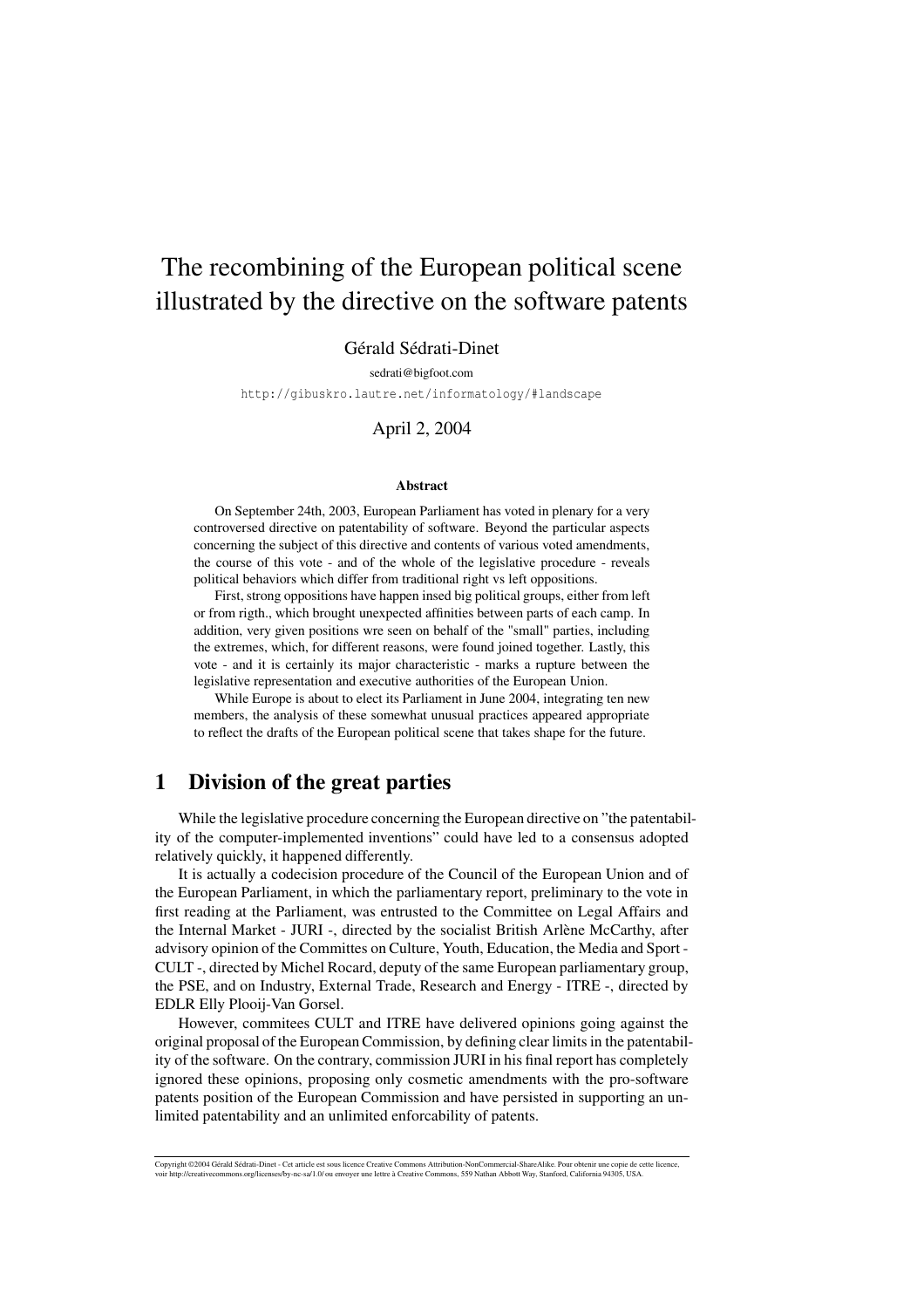# The recombining of the European political scene illustrated by the directive on the software patents

### Gérald Sédrati-Dinet

sedrati@bigfoot.com

http://gibuskro.lautre.net/informatology/#landscape

#### April 2, 2004

#### **Abstract**

On September 24th, 2003, European Parliament has voted in plenary for a very controversed directive on patentability of software. Beyond the particular aspects concerning the subject of this directive and contents of various voted amendments, the course of this vote - and of the whole of the legislative procedure - reveals political behaviors which differ from traditional right vs left oppositions.

First, strong oppositions have happen insed big political groups, either from left or from rigth., which brought unexpected affinities between parts of each camp. In addition, very given positions wre seen on behalf of the "small" parties, including the extremes, which, for different reasons, were found joined together. Lastly, this vote - and it is certainly its major characteristic - marks a rupture between the legislative representation and executive authorities of the European Union.

While Europe is about to elect its Parliament in June 2004, integrating ten new members, the analysis of these somewhat unusual practices appeared appropriate to reflect the drafts of the European political scene that takes shape for the future.

## **1 Division of the great parties**

While the legislative procedure concerning the European directive on "the patentability of the computer-implemented inventions" could have led to a consensus adopted relatively quickly, it happened differently.

It is actually a codecision procedure of the Council of the European Union and of the European Parliament, in which the parliamentary report, preliminary to the vote in first reading at the Parliament, was entrusted to the Committee on Legal Affairs and the Internal Market - JURI -, directed by the socialist British Arlène McCarthy, after advisory opinion of the Committes on Culture, Youth, Education, the Media and Sport - CULT -, directed by Michel Rocard, deputy of the same European parliamentary group, the PSE, and on Industry, External Trade, Research and Energy - ITRE -, directed by EDLR Elly Plooij-Van Gorsel.

However, commitees CULT and ITRE have delivered opinions going against the original proposal of the EuropeanCommission, by defining clear limits in the patentability of the software. On the contrary, commission JURI in his final report has completely ignored these opinions, proposing only cosmetic amendments with the pro-software patents position of the European Commission and have persisted in supporting an unlimited patentability and an unlimited enforcability of patents.

Copyright ©2004 Gérald Sédrati-Dinet - Cet article est sous licence Creative Commons Attribution-NonCommercial-ShareAlike. Pour obtenir une copie de cette licence,<br>voir http://creativecommons.org/licenses/by-nc-sa/1.0/ ou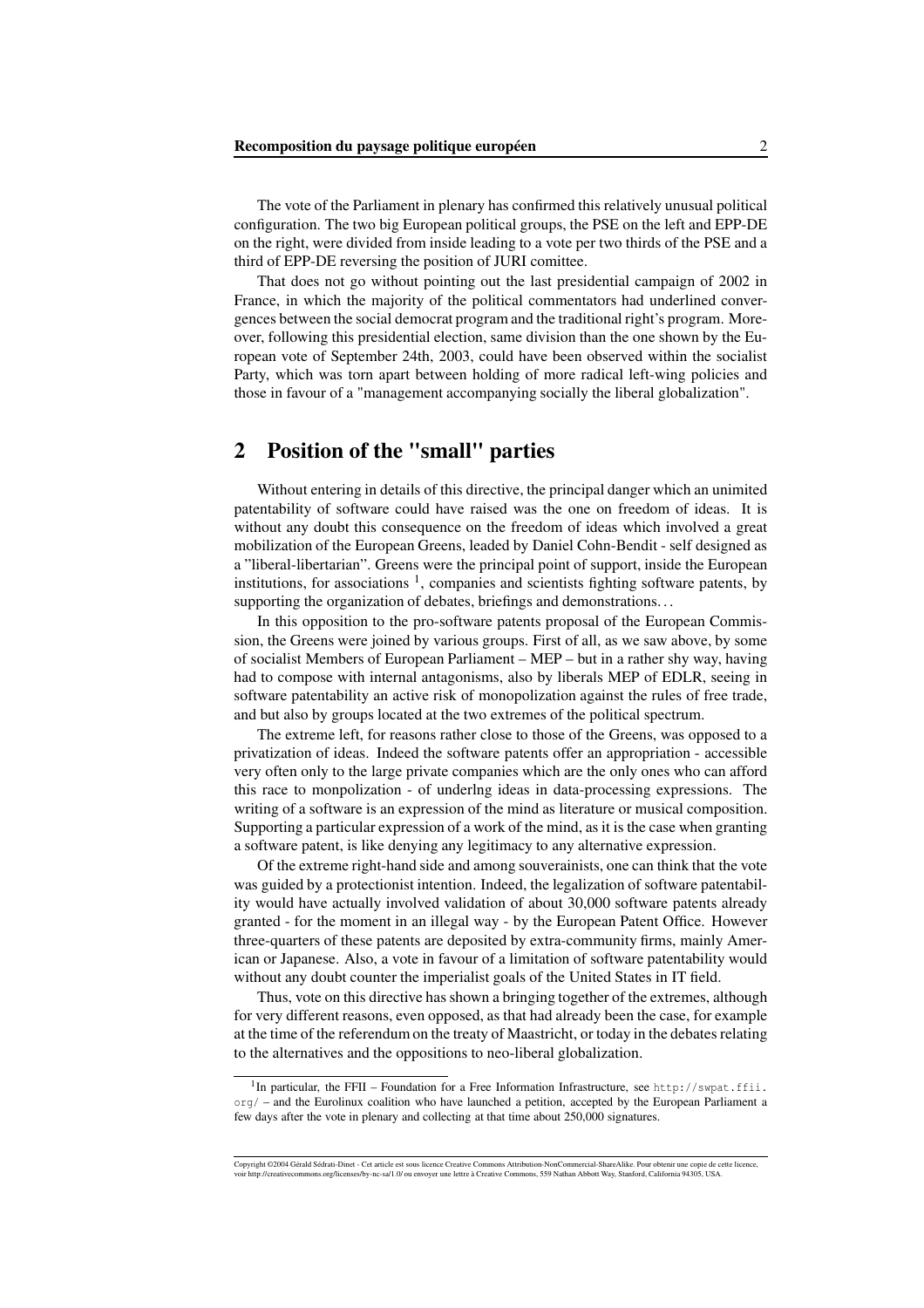The vote of the Parliament in plenary has confirmed this relatively unusual political configuration. The two big European political groups, the PSE on the left and EPP-DE on the right, were divided from inside leading to a vote per two thirds of the PSE and a third of EPP-DE reversing the position of JURI comittee.

That does not go without pointing out the last presidential campaign of 2002 in France, in which the majority of the political commentators had underlined convergences between the social democrat program and the traditional right's program. Moreover, following this presidential election, same division than the one shown by the European vote of September 24th, 2003, could have been observed within the socialist Party, which was torn apart between holding of more radical left-wing policies and those in favour of a "management accompanying socially the liberal globalization".

# **2 Position of the "small" parties**

Without entering in details of this directive, the principal danger which an unimited patentability of software could have raised was the one on freedom of ideas. It is without any doubt this consequence on the freedom of ideas which involved a great mobilization of the European Greens, leaded by Daniel Cohn-Bendit - self designed as a "liberal-libertarian". Greens were the principal point of support, inside the European institutions, for associations  $<sup>1</sup>$ , companies and scientists fighting software patents, by</sup> supporting the organization of debates, briefings and demonstrations. . .

In this opposition to the pro-software patents proposal of the European Commission, the Greens were joined by various groups. First of all, as we saw above, by some of socialist Members of European Parliament – MEP – but in a rather shy way, having had to compose with internal antagonisms, also by liberals MEP of EDLR, seeing in software patentability an active risk of monopolization against the rules of free trade, and but also by groups located at the two extremes of the political spectrum.

The extreme left, for reasons rather close to those of the Greens, was opposed to a privatization of ideas. Indeed the software patents offer an appropriation - accessible very often only to the large private companies which are the only ones who can afford this race to monpolization - of underlng ideas in data-processing expressions. The writing of a software is an expression of the mind as literature or musical composition. Supporting a particular expression of a work of the mind, as it is the case when granting a software patent, is like denying any legitimacy to any alternative expression.

Of the extreme right-hand side and among souverainists, one can think that the vote was guided by a protectionist intention. Indeed, the legalization of software patentability would have actually involved validation of about 30,000 software patents already granted - for the moment in an illegal way - by the European Patent Office. However three-quarters of these patents are deposited by extra-community firms, mainly American or Japanese. Also, a vote in favour of a limitation of software patentability would without any doubt counter the imperialist goals of the United States in IT field.

Thus, vote on this directive has shown a bringing together of the extremes, although for very different reasons, even opposed, as that had already been the case, for example at the time of the referendum on the treaty of Maastricht, or today in the debates relating to the alternatives and the oppositions to neo-liberal globalization.

<sup>&</sup>lt;sup>1</sup>In particular, the FFII – Foundation for a Free Information Infrastructure, see http://swpat.ffii. org/ – and the Eurolinux coalition who have launched a petition, accepted by the European Parliament a few days after the vote in plenary and collecting at that time about 250,000 signatures.

Copyright ©2004 Gérald Sédrati-Dinet - Cet article est sous licence Creative Commons Attribution-NonCommercial-ShareAlike. Pour obtenir une copie de cette licence,<br>voir http://creativecommons.org/licenses/by-nc-sa/1.0/ ou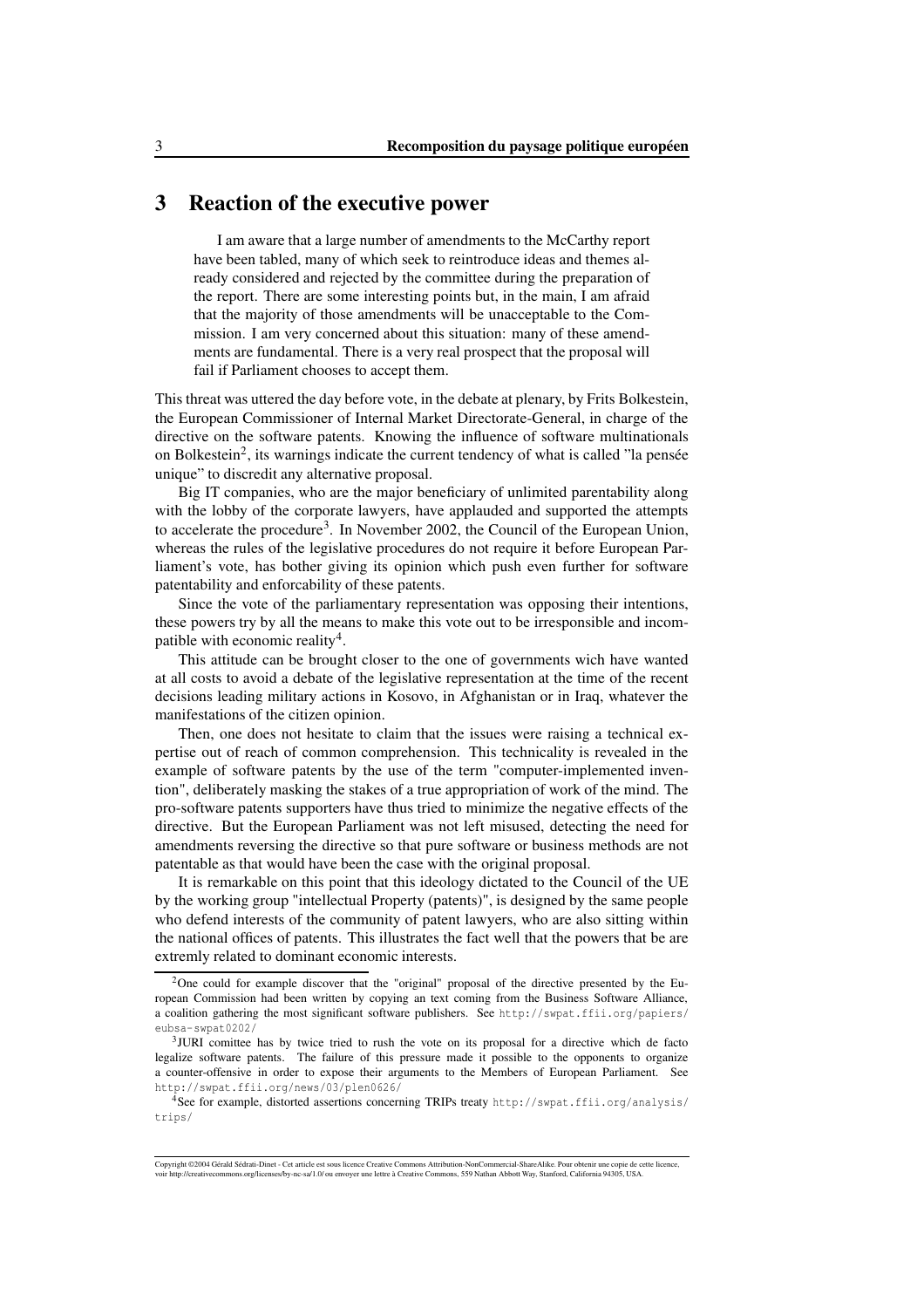# **3 Reaction of the executive power**

I am aware that a large number of amendments to the McCarthy report have been tabled, many of which seek to reintroduce ideas and themes already considered and rejected by the committee during the preparation of the report. There are some interesting points but, in the main, I am afraid that the majority of those amendments will be unacceptable to the Commission. I am very concerned about this situation: many of these amendments are fundamental. There is a very real prospect that the proposal will fail if Parliament chooses to accept them.

This threat was uttered the day before vote, in the debate at plenary, by Frits Bolkestein, the European Commissioner of Internal Market Directorate-General, in charge of the directive on the software patents. Knowing the influence of software multinationals on Bolkestein<sup>2</sup>, its warnings indicate the current tendency of what is called "la pensée unique" to discredit any alternative proposal.

Big IT companies, who are the major beneficiary of unlimited parentability along with the lobby of the corporate lawyers, have applauded and supported the attempts to accelerate the procedure<sup>3</sup>. In November 2002, the Council of the European Union, whereas the rules of the legislative procedures do not require it before European Parliament's vote, has bother giving its opinion which push even further for software patentability and enforcability of these patents.

Since the vote of the parliamentary representation was opposing their intentions, these powers try by all the means to make this vote out to be irresponsible and incompatible with economic reality<sup>4</sup>.

This attitude can be brought closer to the one of governments wich have wanted at all costs to avoid a debate of the legislative representation at the time of the recent decisions leading military actions in Kosovo, in Afghanistan or in Iraq, whatever the manifestations of the citizen opinion.

Then, one does not hesitate to claim that the issues were raising a technical expertise out of reach of common comprehension. This technicality is revealed in the example of software patents by the use of the term "computer-implemented invention", deliberately masking the stakes of a true appropriation of work of the mind. The pro-software patents supporters have thus tried to minimize the negative effects of the directive. But the European Parliament was not left misused, detecting the need for amendments reversing the directive so that pure software or business methods are not patentable as that would have been the case with the original proposal.

It is remarkable on this point that this ideology dictated to the Council of the UE by the working group "intellectual Property (patents)", is designed by the same people who defend interests of the community of patent lawyers, who are also sitting within the national offices of patents. This illustrates the fact well that the powers that be are extremly related to dominant economic interests.

<sup>&</sup>lt;sup>2</sup>One could for example discover that the "original" proposal of the directive presented by the European Commission had been written by copying an text coming from the Business Software Alliance, a coalition gathering the most significant software publishers. See http://swpat.ffii.org/papiers/ eubsa-swpat0202/

<sup>&</sup>lt;sup>3</sup>JURI comittee has by twice tried to rush the vote on its proposal for a directive which de facto legalize software patents. The failure of this pressure made it possible to the opponents to organize a counter-offensive in order to expose their arguments to the Members of European Parliament. See http://swpat.ffii.org/news/03/plen0626/

<sup>4</sup>See for example, distorted assertions concerning TRIPs treaty http://swpat.ffii.org/analysis/ trips/

Copyright ©2004 Gérald Sédrati-Dinet - Cet article est sous licence Creative Commons Attribution-NonCommercial-ShareAlike. Pour obtenir une copie de cette licence,<br>voir http://creativecommons.org/licenses/by-nc-sa/1.0/ ou